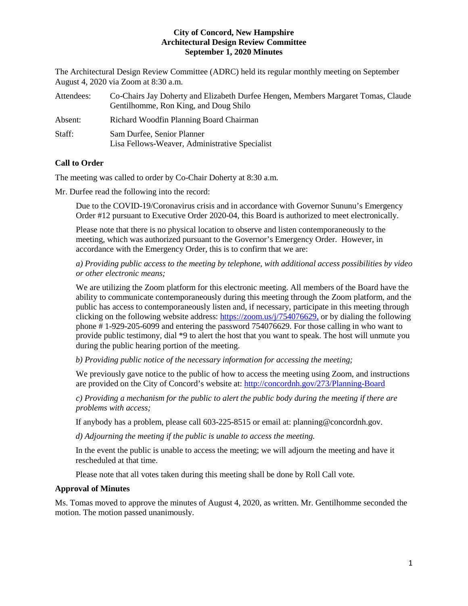The Architectural Design Review Committee (ADRC) held its regular monthly meeting on September August 4, 2020 via Zoom at 8:30 a.m.

| Attendees: | Co-Chairs Jay Doherty and Elizabeth Durfee Hengen, Members Margaret Tomas, Claude<br>Gentilhomme, Ron King, and Doug Shilo |
|------------|----------------------------------------------------------------------------------------------------------------------------|
| Absent:    | Richard Woodfin Planning Board Chairman                                                                                    |
| Staff:     | Sam Durfee, Senior Planner<br>Lisa Fellows-Weaver, Administrative Specialist                                               |

# **Call to Order**

The meeting was called to order by Co-Chair Doherty at 8:30 a.m.

Mr. Durfee read the following into the record:

Due to the COVID-19/Coronavirus crisis and in accordance with Governor Sununu's Emergency Order #12 pursuant to Executive Order 2020-04, this Board is authorized to meet electronically.

Please note that there is no physical location to observe and listen contemporaneously to the meeting, which was authorized pursuant to the Governor's Emergency Order. However, in accordance with the Emergency Order, this is to confirm that we are:

*a) Providing public access to the meeting by telephone, with additional access possibilities by video or other electronic means;* 

We are utilizing the Zoom platform for this electronic meeting. All members of the Board have the ability to communicate contemporaneously during this meeting through the Zoom platform, and the public has access to contemporaneously listen and, if necessary, participate in this meeting through clicking on the following website address: [https://zoom.us/j/754076629,](https://zoom.us/j/754076629) or by dialing the following phone # 1-929-205-6099 and entering the password 754076629. For those calling in who want to provide public testimony, dial \*9 to alert the host that you want to speak. The host will unmute you during the public hearing portion of the meeting.

*b) Providing public notice of the necessary information for accessing the meeting;*

We previously gave notice to the public of how to access the meeting using Zoom, and instructions are provided on the City of Concord's website at: <http://concordnh.gov/273/Planning-Board>

*c) Providing a mechanism for the public to alert the public body during the meeting if there are problems with access;* 

If anybody has a problem, please call 603-225-8515 or email at: planning@concordnh.gov.

*d) Adjourning the meeting if the public is unable to access the meeting.*

In the event the public is unable to access the meeting; we will adjourn the meeting and have it rescheduled at that time.

Please note that all votes taken during this meeting shall be done by Roll Call vote.

## **Approval of Minutes**

Ms. Tomas moved to approve the minutes of August 4, 2020, as written. Mr. Gentilhomme seconded the motion. The motion passed unanimously.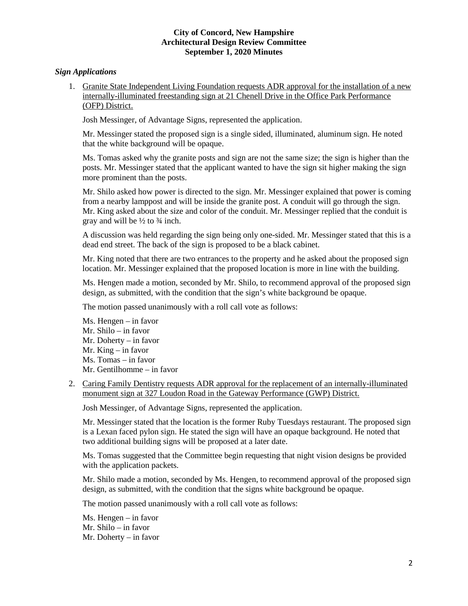# *Sign Applications*

1. Granite State Independent Living Foundation requests ADR approval for the installation of a new internally-illuminated freestanding sign at 21 Chenell Drive in the Office Park Performance (OFP) District.

Josh Messinger, of Advantage Signs, represented the application.

Mr. Messinger stated the proposed sign is a single sided, illuminated, aluminum sign. He noted that the white background will be opaque.

Ms. Tomas asked why the granite posts and sign are not the same size; the sign is higher than the posts. Mr. Messinger stated that the applicant wanted to have the sign sit higher making the sign more prominent than the posts.

Mr. Shilo asked how power is directed to the sign. Mr. Messinger explained that power is coming from a nearby lamppost and will be inside the granite post. A conduit will go through the sign. Mr. King asked about the size and color of the conduit. Mr. Messinger replied that the conduit is gray and will be  $\frac{1}{2}$  to  $\frac{3}{4}$  inch.

A discussion was held regarding the sign being only one-sided. Mr. Messinger stated that this is a dead end street. The back of the sign is proposed to be a black cabinet.

Mr. King noted that there are two entrances to the property and he asked about the proposed sign location. Mr. Messinger explained that the proposed location is more in line with the building.

Ms. Hengen made a motion, seconded by Mr. Shilo, to recommend approval of the proposed sign design, as submitted, with the condition that the sign's white background be opaque.

The motion passed unanimously with a roll call vote as follows:

Ms. Hengen – in favor Mr. Shilo – in favor Mr. Doherty – in favor Mr. King – in favor Ms. Tomas – in favor Mr. Gentilhomme – in favor

2. [Caring Family Dentistry](https://www.concordnh.gov/DocumentCenter/View/15670/327-Loudon-Rd---Caring---ADR) requests ADR approval for the replacement of an internally-illuminated monument sign at 327 Loudon Road in the Gateway Performance (GWP) District.

Josh Messinger, of Advantage Signs, represented the application.

Mr. Messinger stated that the location is the former Ruby Tuesdays restaurant. The proposed sign is a Lexan faced pylon sign. He stated the sign will have an opaque background. He noted that two additional building signs will be proposed at a later date.

Ms. Tomas suggested that the Committee begin requesting that night vision designs be provided with the application packets.

Mr. Shilo made a motion, seconded by Ms. Hengen, to recommend approval of the proposed sign design, as submitted, with the condition that the signs white background be opaque.

The motion passed unanimously with a roll call vote as follows:

Ms. Hengen – in favor Mr. Shilo – in favor Mr. Doherty – in favor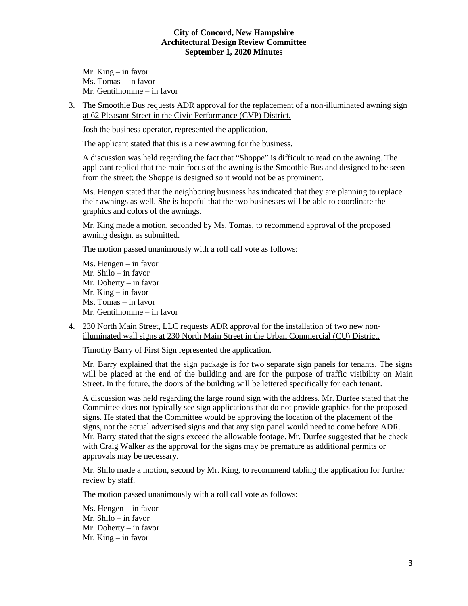Mr. King – in favor Ms. Tomas – in favor Mr. Gentilhomme – in favor

3. The Smoothie Bus requests ADR approval for the replacement of a non-illuminated awning sign at 62 Pleasant Street in the Civic Performance (CVP) District.

Josh the business operator, represented the application.

The applicant stated that this is a new awning for the business.

A discussion was held regarding the fact that "Shoppe" is difficult to read on the awning. The applicant replied that the main focus of the awning is the Smoothie Bus and designed to be seen from the street; the Shoppe is designed so it would not be as prominent.

Ms. Hengen stated that the neighboring business has indicated that they are planning to replace their awnings as well. She is hopeful that the two businesses will be able to coordinate the graphics and colors of the awnings.

Mr. King made a motion, seconded by Ms. Tomas, to recommend approval of the proposed awning design, as submitted.

The motion passed unanimously with a roll call vote as follows:

Ms. Hengen – in favor Mr. Shilo – in favor Mr. Doherty – in favor Mr. King – in favor Ms. Tomas – in favor Mr. Gentilhomme – in favor

4. 230 North Main Street, LLC requests ADR approval for the installation of two new nonilluminated wall signs at 230 North Main Street in the Urban Commercial (CU) District.

Timothy Barry of First Sign represented the application.

Mr. Barry explained that the sign package is for two separate sign panels for tenants. The signs will be placed at the end of the building and are for the purpose of traffic visibility on Main Street. In the future, the doors of the building will be lettered specifically for each tenant.

A discussion was held regarding the large round sign with the address. Mr. Durfee stated that the Committee does not typically see sign applications that do not provide graphics for the proposed signs. He stated that the Committee would be approving the location of the placement of the signs, not the actual advertised signs and that any sign panel would need to come before ADR. Mr. Barry stated that the signs exceed the allowable footage. Mr. Durfee suggested that he check with Craig Walker as the approval for the signs may be premature as additional permits or approvals may be necessary.

Mr. Shilo made a motion, second by Mr. King, to recommend tabling the application for further review by staff.

The motion passed unanimously with a roll call vote as follows:

Ms. Hengen – in favor Mr. Shilo – in favor Mr. Doherty – in favor Mr. King – in favor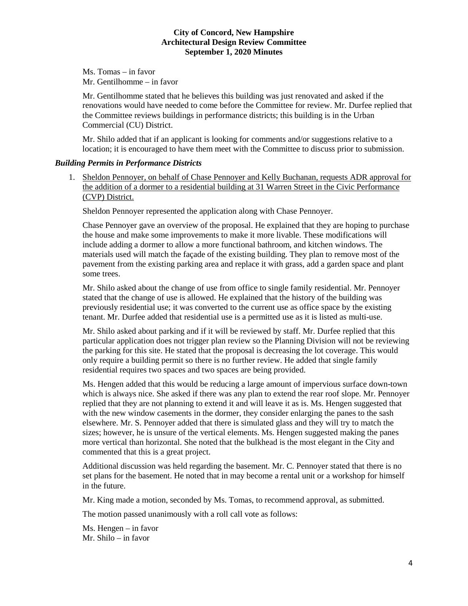Ms. Tomas – in favor Mr. Gentilhomme – in favor

Mr. Gentilhomme stated that he believes this building was just renovated and asked if the renovations would have needed to come before the Committee for review. Mr. Durfee replied that the Committee reviews buildings in performance districts; this building is in the Urban Commercial (CU) District.

Mr. Shilo added that if an applicant is looking for comments and/or suggestions relative to a location; it is encouraged to have them meet with the Committee to discuss prior to submission.

### *Building Permits in Performance Districts*

1. [Sheldon Pennoyer,](https://www.concordnh.gov/DocumentCenter/View/15677/31WarrenSt_ADR) on behalf of Chase Pennoyer and Kelly Buchanan, requests ADR approval for the addition of a dormer to a residential building at 31 Warren Street in the Civic Performance (CVP) District.

Sheldon Pennoyer represented the application along with Chase Pennoyer.

Chase Pennoyer gave an overview of the proposal. He explained that they are hoping to purchase the house and make some improvements to make it more livable. These modifications will include adding a dormer to allow a more functional bathroom, and kitchen windows. The materials used will match the façade of the existing building. They plan to remove most of the pavement from the existing parking area and replace it with grass, add a garden space and plant some trees.

Mr. Shilo asked about the change of use from office to single family residential. Mr. Pennoyer stated that the change of use is allowed. He explained that the history of the building was previously residential use; it was converted to the current use as office space by the existing tenant. Mr. Durfee added that residential use is a permitted use as it is listed as multi-use.

Mr. Shilo asked about parking and if it will be reviewed by staff. Mr. Durfee replied that this particular application does not trigger plan review so the Planning Division will not be reviewing the parking for this site. He stated that the proposal is decreasing the lot coverage. This would only require a building permit so there is no further review. He added that single family residential requires two spaces and two spaces are being provided.

Ms. Hengen added that this would be reducing a large amount of impervious surface down-town which is always nice. She asked if there was any plan to extend the rear roof slope. Mr. Pennoyer replied that they are not planning to extend it and will leave it as is. Ms. Hengen suggested that with the new window casements in the dormer, they consider enlarging the panes to the sash elsewhere. Mr. S. Pennoyer added that there is simulated glass and they will try to match the sizes; however, he is unsure of the vertical elements. Ms. Hengen suggested making the panes more vertical than horizontal. She noted that the bulkhead is the most elegant in the City and commented that this is a great project.

Additional discussion was held regarding the basement. Mr. C. Pennoyer stated that there is no set plans for the basement. He noted that in may become a rental unit or a workshop for himself in the future.

Mr. King made a motion, seconded by Ms. Tomas, to recommend approval, as submitted.

The motion passed unanimously with a roll call vote as follows:

Ms. Hengen – in favor Mr. Shilo – in favor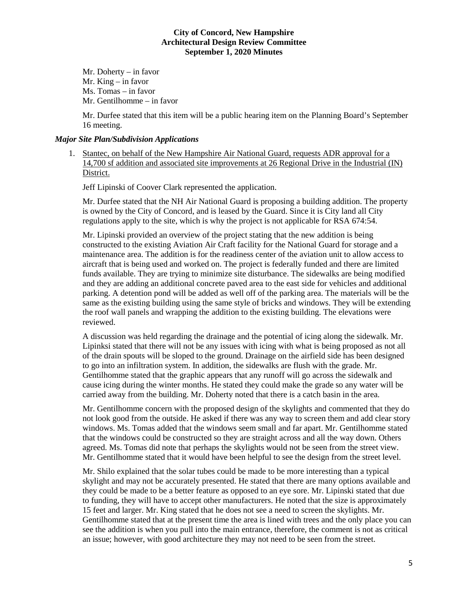Mr. Doherty – in favor Mr. King – in favor Ms. Tomas – in favor Mr. Gentilhomme – in favor

Mr. Durfee stated that this item will be a public hearing item on the Planning Board's September 16 meeting.

# *Major Site Plan/Subdivision Applications*

1. Stantec, on behalf of the New Hampshire Air National Guard, requests ADR approval for a 14,700 sf addition and associated site improvements at 26 Regional Drive in the Industrial (IN) District.

Jeff Lipinski of Coover Clark represented the application.

Mr. Durfee stated that the NH Air National Guard is proposing a building addition. The property is owned by the City of Concord, and is leased by the Guard. Since it is City land all City regulations apply to the site, which is why the project is not applicable for RSA 674:54.

Mr. Lipinski provided an overview of the project stating that the new addition is being constructed to the existing Aviation Air Craft facility for the National Guard for storage and a maintenance area. The addition is for the readiness center of the aviation unit to allow access to aircraft that is being used and worked on. The project is federally funded and there are limited funds available. They are trying to minimize site disturbance. The sidewalks are being modified and they are adding an additional concrete paved area to the east side for vehicles and additional parking. A detention pond will be added as well off of the parking area. The materials will be the same as the existing building using the same style of bricks and windows. They will be extending the roof wall panels and wrapping the addition to the existing building. The elevations were reviewed.

A discussion was held regarding the drainage and the potential of icing along the sidewalk. Mr. Lipinksi stated that there will not be any issues with icing with what is being proposed as not all of the drain spouts will be sloped to the ground. Drainage on the airfield side has been designed to go into an infiltration system. In addition, the sidewalks are flush with the grade. Mr. Gentilhomme stated that the graphic appears that any runoff will go across the sidewalk and cause icing during the winter months. He stated they could make the grade so any water will be carried away from the building. Mr. Doherty noted that there is a catch basin in the area.

Mr. Gentilhomme concern with the proposed design of the skylights and commented that they do not look good from the outside. He asked if there was any way to screen them and add clear story windows. Ms. Tomas added that the windows seem small and far apart. Mr. Gentilhomme stated that the windows could be constructed so they are straight across and all the way down. Others agreed. Ms. Tomas did note that perhaps the skylights would not be seen from the street view. Mr. Gentilhomme stated that it would have been helpful to see the design from the street level.

Mr. Shilo explained that the solar tubes could be made to be more interesting than a typical skylight and may not be accurately presented. He stated that there are many options available and they could be made to be a better feature as opposed to an eye sore. Mr. Lipinski stated that due to funding, they will have to accept other manufacturers. He noted that the size is approximately 15 feet and larger. Mr. King stated that he does not see a need to screen the skylights. Mr. Gentilhomme stated that at the present time the area is lined with trees and the only place you can see the addition is when you pull into the main entrance, therefore, the comment is not as critical an issue; however, with good architecture they may not need to be seen from the street.